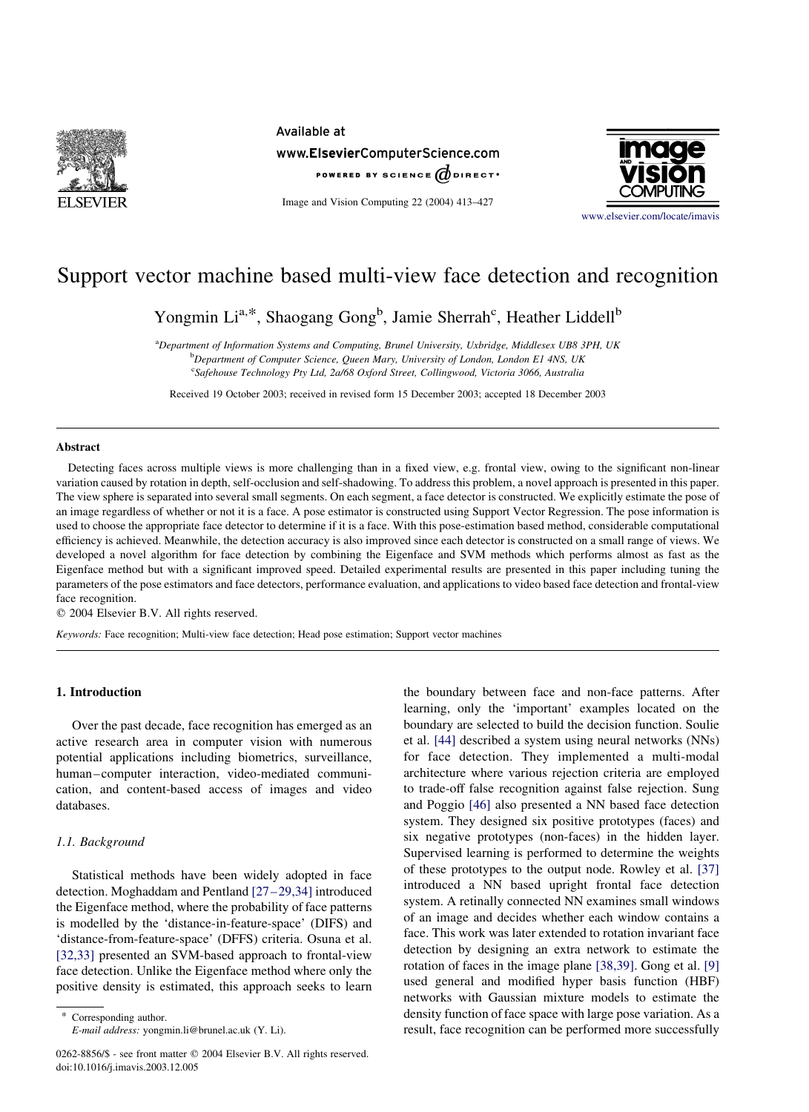

Available at www.ElsevierComputerScience.com POWERED BY SCIENCE  $\phi$  direct.

Image and Vision Computing 22 (2004) 413–427



[www.elsevier.com/locate/imavis](http://www.elsevier.com/locate/imavis)

# Support vector machine based multi-view face detection and recognition

Yongmin Li<sup>a,\*</sup>, Shaogang Gong<sup>b</sup>, Jamie Sherrah<sup>c</sup>, Heather Liddell<sup>b</sup>

<sup>a</sup>Department of Information Systems and Computing, Brunel University, Uxbridge, Middlesex UB8 3PH, UK **b** Department of Computer Science, Queen Mary, University of London, London E1 4NS, UK <sup>c</sup>Safehouse Technology Pty Ltd, 2a/68 Oxford Street, Collingwood, Victoria 3066, Australia

Received 19 October 2003; received in revised form 15 December 2003; accepted 18 December 2003

#### Abstract

Detecting faces across multiple views is more challenging than in a fixed view, e.g. frontal view, owing to the significant non-linear variation caused by rotation in depth, self-occlusion and self-shadowing. To address this problem, a novel approach is presented in this paper. The view sphere is separated into several small segments. On each segment, a face detector is constructed. We explicitly estimate the pose of an image regardless of whether or not it is a face. A pose estimator is constructed using Support Vector Regression. The pose information is used to choose the appropriate face detector to determine if it is a face. With this pose-estimation based method, considerable computational efficiency is achieved. Meanwhile, the detection accuracy is also improved since each detector is constructed on a small range of views. We developed a novel algorithm for face detection by combining the Eigenface and SVM methods which performs almost as fast as the Eigenface method but with a significant improved speed. Detailed experimental results are presented in this paper including tuning the parameters of the pose estimators and face detectors, performance evaluation, and applications to video based face detection and frontal-view face recognition.

 $©$  2004 Elsevier B.V. All rights reserved.

Keywords: Face recognition; Multi-view face detection; Head pose estimation; Support vector machines

# 1. Introduction

Over the past decade, face recognition has emerged as an active research area in computer vision with numerous potential applications including biometrics, surveillance, human–computer interaction, video-mediated communication, and content-based access of images and video databases.

# 1.1. Background

Statistical methods have been widely adopted in face detection. Moghaddam and Pentland [\[27–29,34\]](#page-14-0) introduced the Eigenface method, where the probability of face patterns is modelled by the 'distance-in-feature-space' (DIFS) and 'distance-from-feature-space' (DFFS) criteria. Osuna et al. [\[32,33\]](#page-14-0) presented an SVM-based approach to frontal-view face detection. Unlike the Eigenface method where only the positive density is estimated, this approach seeks to learn

Corresponding author. E-mail address: yongmin.li@brunel.ac.uk (Y. Li).

0262-8856/\$ - see front matter © 2004 Elsevier B.V. All rights reserved. doi:10.1016/j.imavis.2003.12.005

the boundary between face and non-face patterns. After learning, only the 'important' examples located on the boundary are selected to build the decision function. Soulie et al. [\[44\]](#page-14-0) described a system using neural networks (NNs) for face detection. They implemented a multi-modal architecture where various rejection criteria are employed to trade-off false recognition against false rejection. Sung and Poggio [\[46\]](#page-14-0) also presented a NN based face detection system. They designed six positive prototypes (faces) and six negative prototypes (non-faces) in the hidden layer. Supervised learning is performed to determine the weights of these prototypes to the output node. Rowley et al. [\[37\]](#page-14-0) introduced a NN based upright frontal face detection system. A retinally connected NN examines small windows of an image and decides whether each window contains a face. This work was later extended to rotation invariant face detection by designing an extra network to estimate the rotation of faces in the image plane [\[38,39\]](#page-14-0). Gong et al. [\[9\]](#page-13-0) used general and modified hyper basis function (HBF) networks with Gaussian mixture models to estimate the density function of face space with large pose variation. As a result, face recognition can be performed more successfully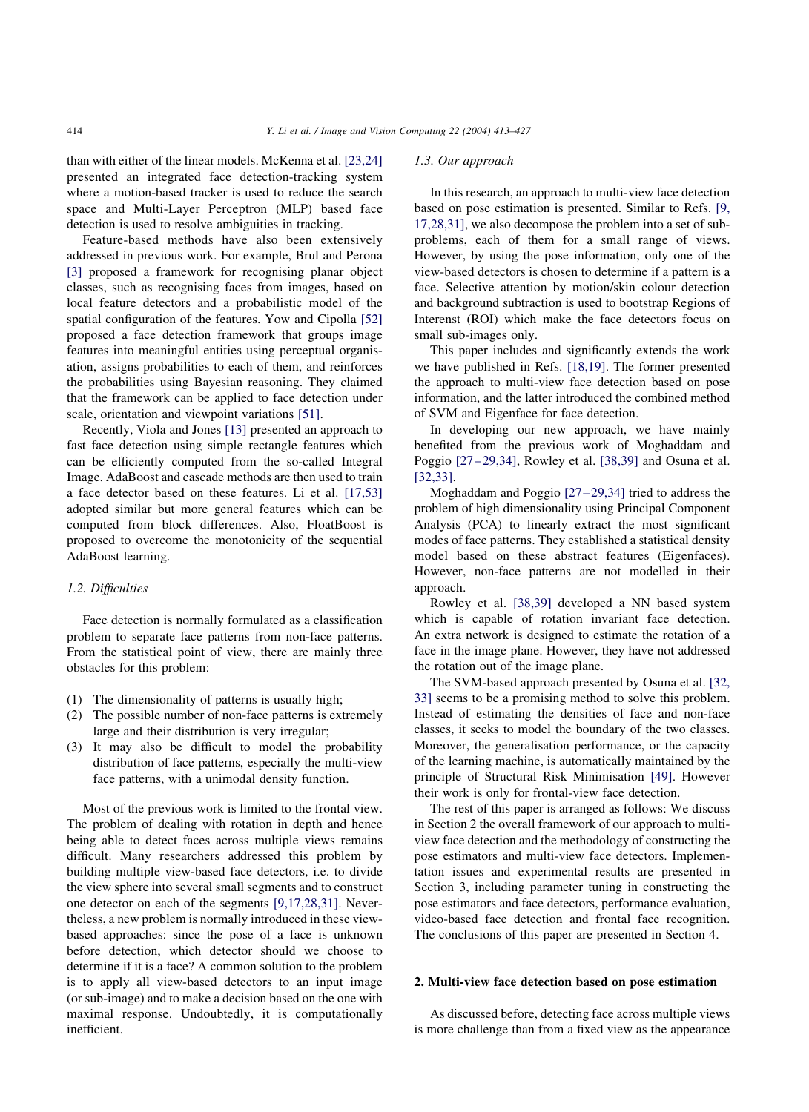than with either of the linear models. McKenna et al. [\[23,24\]](#page-13-0) presented an integrated face detection-tracking system where a motion-based tracker is used to reduce the search space and Multi-Layer Perceptron (MLP) based face detection is used to resolve ambiguities in tracking.

Feature-based methods have also been extensively addressed in previous work. For example, Brul and Perona [\[3\]](#page-13-0) proposed a framework for recognising planar object classes, such as recognising faces from images, based on local feature detectors and a probabilistic model of the spatial configuration of the features. Yow and Cipolla [\[52\]](#page-14-0) proposed a face detection framework that groups image features into meaningful entities using perceptual organisation, assigns probabilities to each of them, and reinforces the probabilities using Bayesian reasoning. They claimed that the framework can be applied to face detection under scale, orientation and viewpoint variations [\[51\]](#page-14-0).

Recently, Viola and Jones [\[13\]](#page-13-0) presented an approach to fast face detection using simple rectangle features which can be efficiently computed from the so-called Integral Image. AdaBoost and cascade methods are then used to train a face detector based on these features. Li et al. [\[17,53\]](#page-13-0) adopted similar but more general features which can be computed from block differences. Also, FloatBoost is proposed to overcome the monotonicity of the sequential AdaBoost learning.

# 1.2. Difficulties

Face detection is normally formulated as a classification problem to separate face patterns from non-face patterns. From the statistical point of view, there are mainly three obstacles for this problem:

- (1) The dimensionality of patterns is usually high;
- (2) The possible number of non-face patterns is extremely large and their distribution is very irregular;
- (3) It may also be difficult to model the probability distribution of face patterns, especially the multi-view face patterns, with a unimodal density function.

Most of the previous work is limited to the frontal view. The problem of dealing with rotation in depth and hence being able to detect faces across multiple views remains difficult. Many researchers addressed this problem by building multiple view-based face detectors, i.e. to divide the view sphere into several small segments and to construct one detector on each of the segments [\[9,17,28,31\]](#page-13-0). Nevertheless, a new problem is normally introduced in these viewbased approaches: since the pose of a face is unknown before detection, which detector should we choose to determine if it is a face? A common solution to the problem is to apply all view-based detectors to an input image (or sub-image) and to make a decision based on the one with maximal response. Undoubtedly, it is computationally inefficient.

#### 1.3. Our approach

In this research, an approach to multi-view face detection based on pose estimation is presented. Similar to Refs. [\[9,](#page-13-0) [17,28,31\],](#page-13-0) we also decompose the problem into a set of subproblems, each of them for a small range of views. However, by using the pose information, only one of the view-based detectors is chosen to determine if a pattern is a face. Selective attention by motion/skin colour detection and background subtraction is used to bootstrap Regions of Interenst (ROI) which make the face detectors focus on small sub-images only.

This paper includes and significantly extends the work we have published in Refs. [\[18,19\]](#page-13-0). The former presented the approach to multi-view face detection based on pose information, and the latter introduced the combined method of SVM and Eigenface for face detection.

In developing our new approach, we have mainly benefited from the previous work of Moghaddam and Poggio [\[27–29,34\]](#page-14-0), Rowley et al. [\[38,39\]](#page-14-0) and Osuna et al. [\[32,33\].](#page-14-0)

Moghaddam and Poggio [\[27–29,34\]](#page-14-0) tried to address the problem of high dimensionality using Principal Component Analysis (PCA) to linearly extract the most significant modes of face patterns. They established a statistical density model based on these abstract features (Eigenfaces). However, non-face patterns are not modelled in their approach.

Rowley et al. [\[38,39\]](#page-14-0) developed a NN based system which is capable of rotation invariant face detection. An extra network is designed to estimate the rotation of a face in the image plane. However, they have not addressed the rotation out of the image plane.

The SVM-based approach presented by Osuna et al. [\[32,](#page-14-0) [33\]](#page-14-0) seems to be a promising method to solve this problem. Instead of estimating the densities of face and non-face classes, it seeks to model the boundary of the two classes. Moreover, the generalisation performance, or the capacity of the learning machine, is automatically maintained by the principle of Structural Risk Minimisation [\[49\]](#page-14-0). However their work is only for frontal-view face detection.

The rest of this paper is arranged as follows: We discuss in Section 2 the overall framework of our approach to multiview face detection and the methodology of constructing the pose estimators and multi-view face detectors. Implementation issues and experimental results are presented in Section 3, including parameter tuning in constructing the pose estimators and face detectors, performance evaluation, video-based face detection and frontal face recognition. The conclusions of this paper are presented in Section 4.

# 2. Multi-view face detection based on pose estimation

As discussed before, detecting face across multiple views is more challenge than from a fixed view as the appearance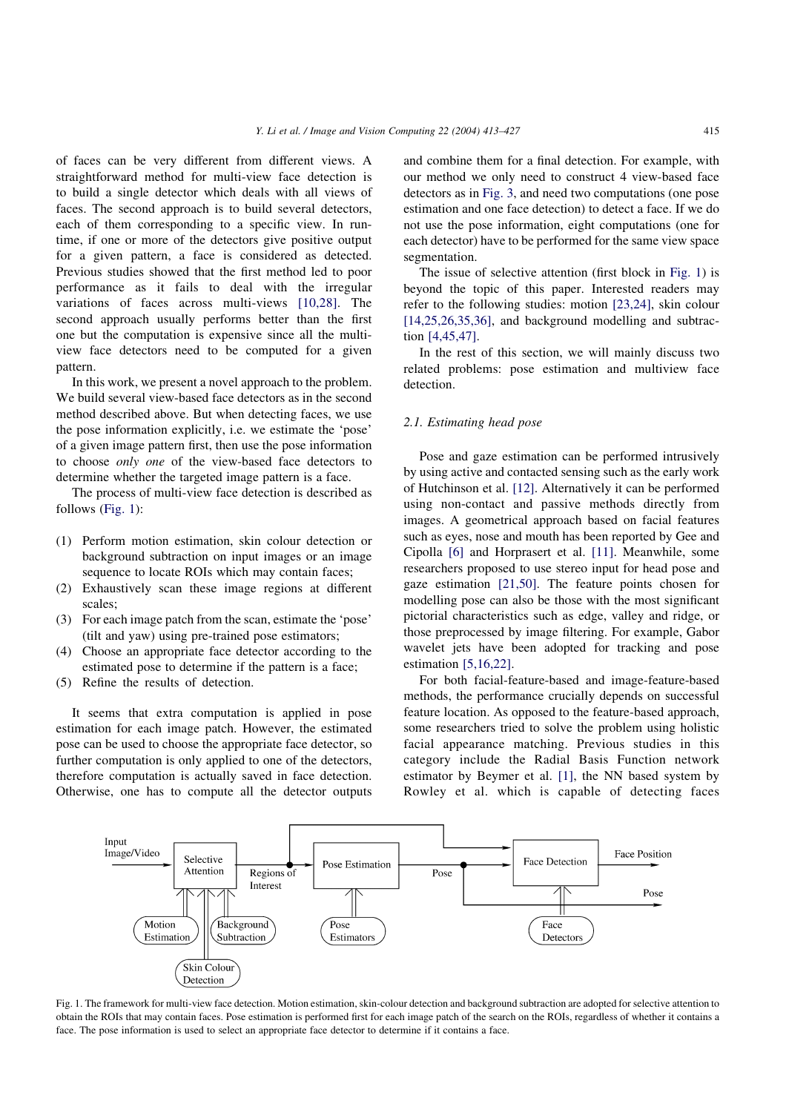of faces can be very different from different views. A straightforward method for multi-view face detection is to build a single detector which deals with all views of faces. The second approach is to build several detectors, each of them corresponding to a specific view. In runtime, if one or more of the detectors give positive output for a given pattern, a face is considered as detected. Previous studies showed that the first method led to poor performance as it fails to deal with the irregular variations of faces across multi-views [\[10,28\]](#page-13-0). The second approach usually performs better than the first one but the computation is expensive since all the multiview face detectors need to be computed for a given pattern.

In this work, we present a novel approach to the problem. We build several view-based face detectors as in the second method described above. But when detecting faces, we use the pose information explicitly, i.e. we estimate the 'pose' of a given image pattern first, then use the pose information to choose only one of the view-based face detectors to determine whether the targeted image pattern is a face.

The process of multi-view face detection is described as follows (Fig. 1):

- (1) Perform motion estimation, skin colour detection or background subtraction on input images or an image sequence to locate ROIs which may contain faces:
- (2) Exhaustively scan these image regions at different scales;
- (3) For each image patch from the scan, estimate the 'pose' (tilt and yaw) using pre-trained pose estimators;
- (4) Choose an appropriate face detector according to the estimated pose to determine if the pattern is a face;
- (5) Refine the results of detection.

It seems that extra computation is applied in pose estimation for each image patch. However, the estimated pose can be used to choose the appropriate face detector, so further computation is only applied to one of the detectors, therefore computation is actually saved in face detection. Otherwise, one has to compute all the detector outputs

and combine them for a final detection. For example, with our method we only need to construct 4 view-based face detectors as in [Fig. 3,](#page-4-0) and need two computations (one pose estimation and one face detection) to detect a face. If we do not use the pose information, eight computations (one for each detector) have to be performed for the same view space segmentation.

The issue of selective attention (first block in Fig. 1) is beyond the topic of this paper. Interested readers may refer to the following studies: motion [\[23,24\],](#page-13-0) skin colour  $[14,25,26,35,36]$ , and background modelling and subtraction [\[4,45,47\].](#page-13-0)

In the rest of this section, we will mainly discuss two related problems: pose estimation and multiview face detection.

#### 2.1. Estimating head pose

Pose and gaze estimation can be performed intrusively by using active and contacted sensing such as the early work of Hutchinson et al. [\[12\].](#page-13-0) Alternatively it can be performed using non-contact and passive methods directly from images. A geometrical approach based on facial features such as eyes, nose and mouth has been reported by Gee and Cipolla [\[6\]](#page-13-0) and Horprasert et al. [\[11\].](#page-13-0) Meanwhile, some researchers proposed to use stereo input for head pose and gaze estimation [\[21,50\]](#page-13-0). The feature points chosen for modelling pose can also be those with the most significant pictorial characteristics such as edge, valley and ridge, or those preprocessed by image filtering. For example, Gabor wavelet jets have been adopted for tracking and pose estimation [\[5,16,22\].](#page-13-0)

For both facial-feature-based and image-feature-based methods, the performance crucially depends on successful feature location. As opposed to the feature-based approach, some researchers tried to solve the problem using holistic facial appearance matching. Previous studies in this category include the Radial Basis Function network estimator by Beymer et al. [\[1\]](#page-13-0), the NN based system by Rowley et al. which is capable of detecting faces



Fig. 1. The framework for multi-view face detection. Motion estimation, skin-colour detection and background subtraction are adopted for selective attention to obtain the ROIs that may contain faces. Pose estimation is performed first for each image patch of the search on the ROIs, regardless of whether it contains a face. The pose information is used to select an appropriate face detector to determine if it contains a face.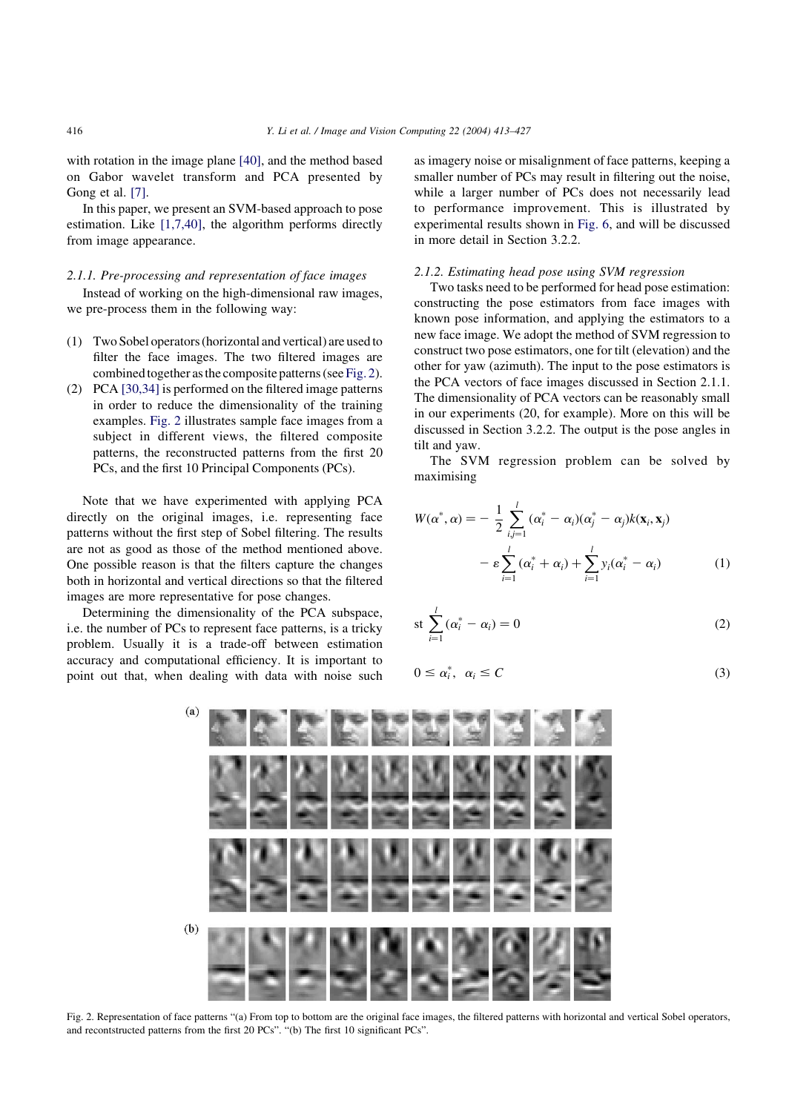with rotation in the image plane [\[40\],](#page-14-0) and the method based on Gabor wavelet transform and PCA presented by Gong et al. [\[7\]](#page-13-0).

In this paper, we present an SVM-based approach to pose estimation. Like [\[1,7,40\]](#page-13-0), the algorithm performs directly from image appearance.

# 2.1.1. Pre-processing and representation of face images

Instead of working on the high-dimensional raw images, we pre-process them in the following way:

- (1) Two Sobel operators (horizontal and vertical) are used to filter the face images. The two filtered images are combined together as the composite patterns (see Fig. 2).
- (2) PCA [\[30,34\]](#page-14-0) is performed on the filtered image patterns in order to reduce the dimensionality of the training examples. Fig. 2 illustrates sample face images from a subject in different views, the filtered composite patterns, the reconstructed patterns from the first 20 PCs, and the first 10 Principal Components (PCs).

Note that we have experimented with applying PCA directly on the original images, i.e. representing face patterns without the first step of Sobel filtering. The results are not as good as those of the method mentioned above. One possible reason is that the filters capture the changes both in horizontal and vertical directions so that the filtered images are more representative for pose changes.

Determining the dimensionality of the PCA subspace, i.e. the number of PCs to represent face patterns, is a tricky problem. Usually it is a trade-off between estimation accuracy and computational efficiency. It is important to point out that, when dealing with data with noise such

as imagery noise or misalignment of face patterns, keeping a smaller number of PCs may result in filtering out the noise, while a larger number of PCs does not necessarily lead to performance improvement. This is illustrated by experimental results shown in [Fig. 6](#page-7-0), and will be discussed in more detail in Section 3.2.2.

## 2.1.2. Estimating head pose using SVM regression

Two tasks need to be performed for head pose estimation: constructing the pose estimators from face images with known pose information, and applying the estimators to a new face image. We adopt the method of SVM regression to construct two pose estimators, one for tilt (elevation) and the other for yaw (azimuth). The input to the pose estimators is the PCA vectors of face images discussed in Section 2.1.1. The dimensionality of PCA vectors can be reasonably small in our experiments (20, for example). More on this will be discussed in Section 3.2.2. The output is the pose angles in tilt and yaw.

The SVM regression problem can be solved by maximising

$$
W(\alpha^*, \alpha) = -\frac{1}{2} \sum_{i,j=1}^l (\alpha_i^* - \alpha_i)(\alpha_j^* - \alpha_j)k(\mathbf{x}_i, \mathbf{x}_j)
$$

$$
- \varepsilon \sum_{i=1}^l (\alpha_i^* + \alpha_i) + \sum_{i=1}^l y_i(\alpha_i^* - \alpha_i)
$$
(1)

$$
\operatorname{st}\sum_{i=1}^{l}(\alpha_i^* - \alpha_i) = 0\tag{2}
$$

$$
0 \le \alpha_i^*, \ \alpha_i \le C \tag{3}
$$



Fig. 2. Representation of face patterns "(a) From top to bottom are the original face images, the filtered patterns with horizontal and vertical Sobel operators, and recontstructed patterns from the first 20 PCs". "(b) The first 10 significant PCs".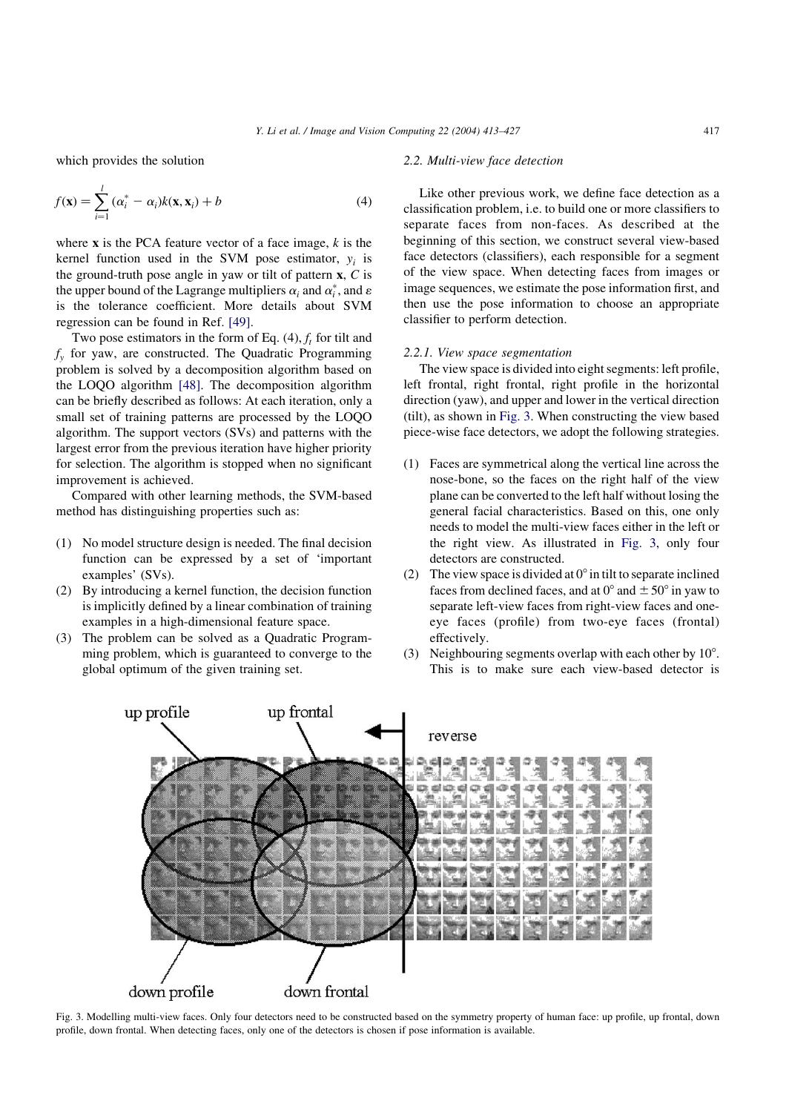<span id="page-4-0"></span>which provides the solution

$$
f(\mathbf{x}) = \sum_{i=1}^{l} (\alpha_i^* - \alpha_i)k(\mathbf{x}, \mathbf{x}_i) + b
$$
\n(4)

where  $x$  is the PCA feature vector of a face image,  $k$  is the kernel function used in the SVM pose estimator,  $y_i$  is the ground-truth pose angle in yaw or tilt of pattern  $x, C$  is the upper bound of the Lagrange multipliers  $\alpha_i$  and  $\alpha_i^*$ , and  $\varepsilon$ is the tolerance coefficient. More details about SVM regression can be found in Ref. [\[49\].](#page-14-0)

Two pose estimators in the form of Eq.  $(4)$ ,  $f_t$  for tilt and  $f<sub>v</sub>$  for yaw, are constructed. The Quadratic Programming problem is solved by a decomposition algorithm based on the LOQO algorithm [\[48\].](#page-14-0) The decomposition algorithm can be briefly described as follows: At each iteration, only a small set of training patterns are processed by the LOQO algorithm. The support vectors (SVs) and patterns with the largest error from the previous iteration have higher priority for selection. The algorithm is stopped when no significant improvement is achieved.

Compared with other learning methods, the SVM-based method has distinguishing properties such as:

- (1) No model structure design is needed. The final decision function can be expressed by a set of 'important examples' (SVs).
- (2) By introducing a kernel function, the decision function is implicitly defined by a linear combination of training examples in a high-dimensional feature space.
- (3) The problem can be solved as a Quadratic Programming problem, which is guaranteed to converge to the global optimum of the given training set.

#### 2.2. Multi-view face detection

Like other previous work, we define face detection as a classification problem, i.e. to build one or more classifiers to separate faces from non-faces. As described at the beginning of this section, we construct several view-based face detectors (classifiers), each responsible for a segment of the view space. When detecting faces from images or image sequences, we estimate the pose information first, and then use the pose information to choose an appropriate classifier to perform detection.

#### 2.2.1. View space segmentation

The view space is divided into eight segments: left profile, left frontal, right frontal, right profile in the horizontal direction (yaw), and upper and lower in the vertical direction (tilt), as shown in Fig. 3. When constructing the view based piece-wise face detectors, we adopt the following strategies.

- (1) Faces are symmetrical along the vertical line across the nose-bone, so the faces on the right half of the view plane can be converted to the left half without losing the general facial characteristics. Based on this, one only needs to model the multi-view faces either in the left or the right view. As illustrated in Fig. 3, only four detectors are constructed.
- (2) The view space is divided at  $0^\circ$  in tilt to separate inclined faces from declined faces, and at  $0^{\circ}$  and  $\pm 50^{\circ}$  in yaw to separate left-view faces from right-view faces and oneeye faces (profile) from two-eye faces (frontal) effectively.
- (3) Neighbouring segments overlap with each other by  $10^{\circ}$ . This is to make sure each view-based detector is



Fig. 3. Modelling multi-view faces. Only four detectors need to be constructed based on the symmetry property of human face: up profile, up frontal, down profile, down frontal. When detecting faces, only one of the detectors is chosen if pose information is available.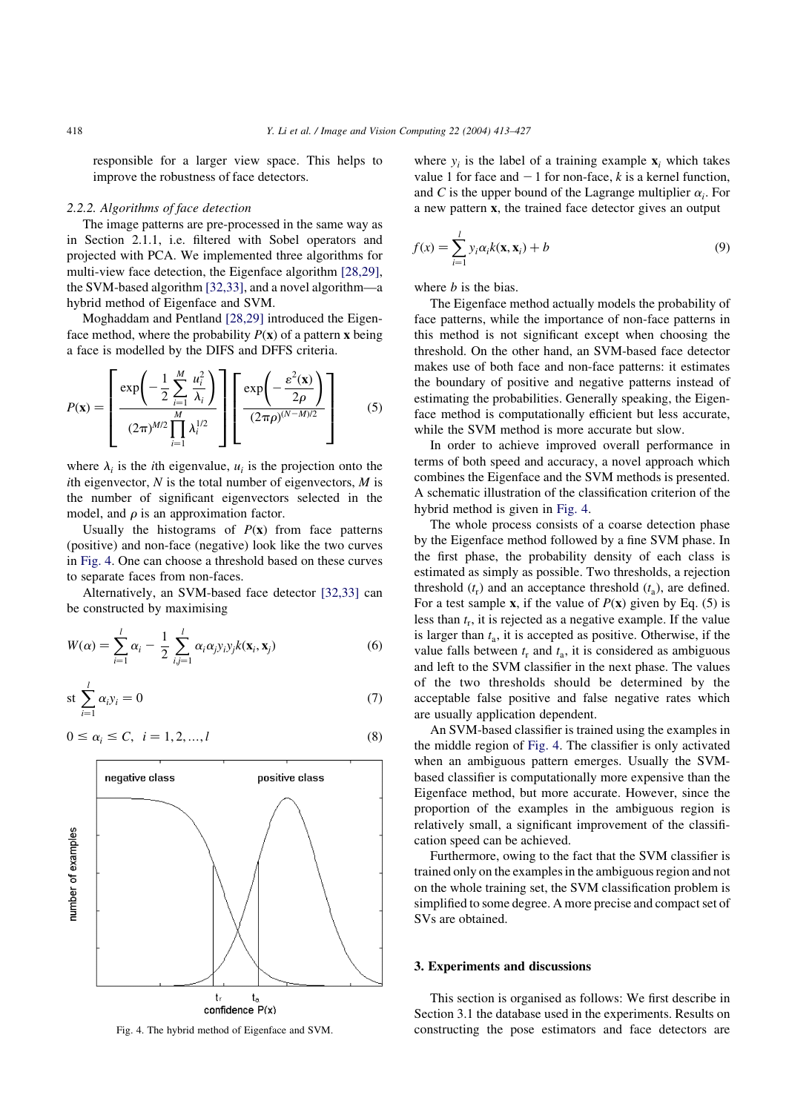responsible for a larger view space. This helps to improve the robustness of face detectors.

# 2.2.2. Algorithms of face detection

The image patterns are pre-processed in the same way as in Section 2.1.1, i.e. filtered with Sobel operators and projected with PCA. We implemented three algorithms for multi-view face detection, the Eigenface algorithm [\[28,29\]](#page-14-0), the SVM-based algorithm [\[32,33\],](#page-14-0) and a novel algorithm—a hybrid method of Eigenface and SVM.

Moghaddam and Pentland [\[28,29\]](#page-14-0) introduced the Eigenface method, where the probability  $P(x)$  of a pattern x being a face is modelled by the DIFS and DFFS criteria.

$$
P(\mathbf{x}) = \left[\frac{\exp\left(-\frac{1}{2}\sum_{i=1}^{M}\frac{u_i^2}{\lambda_i}\right)}{(2\pi)^{M/2}\prod_{i=1}^{M}\lambda_i^{1/2}}\right] \left[\frac{\exp\left(-\frac{\varepsilon^2(\mathbf{x})}{2\rho}\right)}{(2\pi\rho)^{(N-M)/2}}\right]
$$
(5)

where  $\lambda_i$  is the *i*th eigenvalue,  $u_i$  is the projection onto the ith eigenvector,  $N$  is the total number of eigenvectors,  $M$  is the number of significant eigenvectors selected in the model, and  $\rho$  is an approximation factor.

Usually the histograms of  $P(x)$  from face patterns (positive) and non-face (negative) look like the two curves in Fig. 4. One can choose a threshold based on these curves to separate faces from non-faces.

Alternatively, an SVM-based face detector [\[32,33\]](#page-14-0) can be constructed by maximising

$$
W(\alpha) = \sum_{i=1}^{l} \alpha_i - \frac{1}{2} \sum_{i,j=1}^{l} \alpha_i \alpha_j y_i y_j k(\mathbf{x}_i, \mathbf{x}_j)
$$
(6)

$$
\operatorname{st}\sum_{i=1}^{l}\alpha_{i}y_{i}=0\tag{7}
$$

$$
0 \le \alpha_i \le C, \ \ i = 1, 2, ..., l \tag{8}
$$



where  $y_i$  is the label of a training example  $\mathbf{x}_i$  which takes value 1 for face and  $-1$  for non-face, k is a kernel function, and C is the upper bound of the Lagrange multiplier  $\alpha_i$ . For a new pattern x; the trained face detector gives an output

$$
f(x) = \sum_{i=1}^{l} y_i \alpha_i k(\mathbf{x}, \mathbf{x}_i) + b
$$
 (9)

where *b* is the bias.

The Eigenface method actually models the probability of face patterns, while the importance of non-face patterns in this method is not significant except when choosing the threshold. On the other hand, an SVM-based face detector makes use of both face and non-face patterns: it estimates the boundary of positive and negative patterns instead of estimating the probabilities. Generally speaking, the Eigenface method is computationally efficient but less accurate, while the SVM method is more accurate but slow.

In order to achieve improved overall performance in terms of both speed and accuracy, a novel approach which combines the Eigenface and the SVM methods is presented. A schematic illustration of the classification criterion of the hybrid method is given in Fig. 4.

The whole process consists of a coarse detection phase by the Eigenface method followed by a fine SVM phase. In the first phase, the probability density of each class is estimated as simply as possible. Two thresholds, a rejection threshold  $(t_r)$  and an acceptance threshold  $(t_a)$ , are defined. For a test sample **x**, if the value of  $P(x)$  given by Eq. (5) is less than  $t_r$ , it is rejected as a negative example. If the value is larger than  $t_a$ , it is accepted as positive. Otherwise, if the value falls between  $t_r$  and  $t_a$ , it is considered as ambiguous and left to the SVM classifier in the next phase. The values of the two thresholds should be determined by the acceptable false positive and false negative rates which are usually application dependent.

An SVM-based classifier is trained using the examples in the middle region of Fig. 4. The classifier is only activated when an ambiguous pattern emerges. Usually the SVMbased classifier is computationally more expensive than the Eigenface method, but more accurate. However, since the proportion of the examples in the ambiguous region is relatively small, a significant improvement of the classification speed can be achieved.

Furthermore, owing to the fact that the SVM classifier is trained only on the examples in the ambiguous region and not on the whole training set, the SVM classification problem is simplified to some degree. A more precise and compact set of SVs are obtained.

#### 3. Experiments and discussions

This section is organised as follows: We first describe in Section 3.1 the database used in the experiments. Results on Fig. 4. The hybrid method of Eigenface and SVM. constructing the pose estimators and face detectors are

<span id="page-5-0"></span>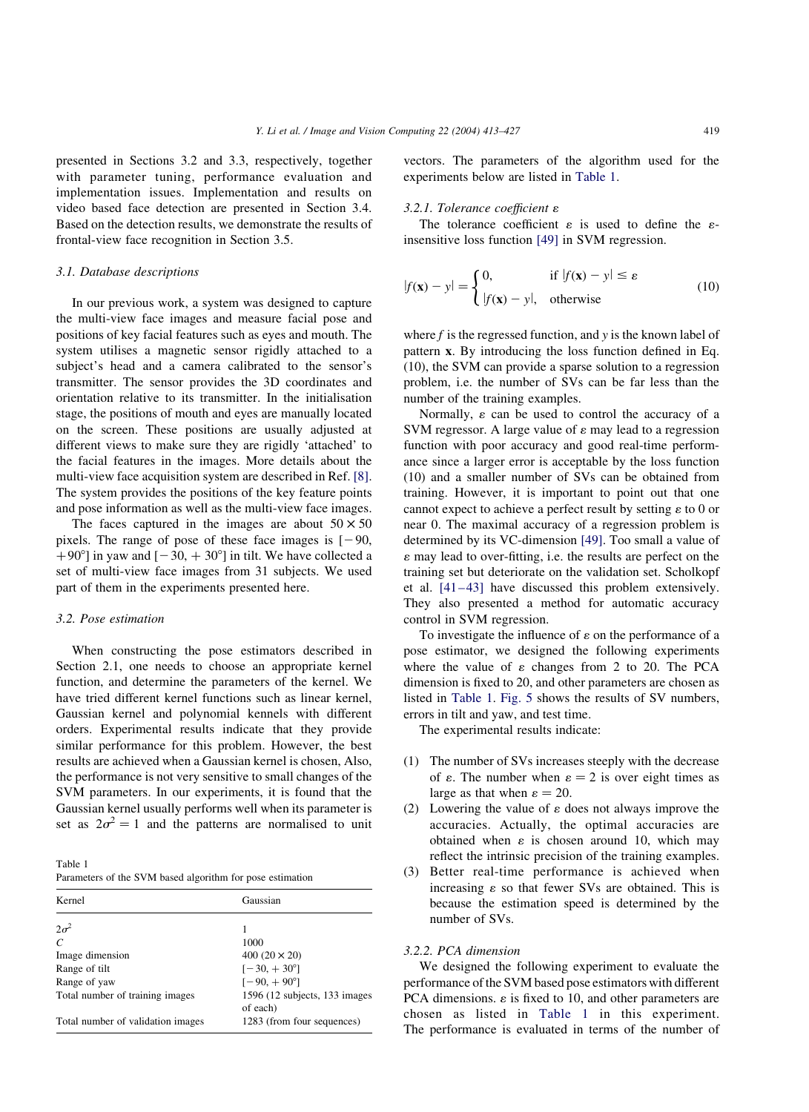<span id="page-6-0"></span>presented in Sections 3.2 and 3.3, respectively, together with parameter tuning, performance evaluation and implementation issues. Implementation and results on video based face detection are presented in Section 3.4. Based on the detection results, we demonstrate the results of frontal-view face recognition in Section 3.5.

#### 3.1. Database descriptions

In our previous work, a system was designed to capture the multi-view face images and measure facial pose and positions of key facial features such as eyes and mouth. The system utilises a magnetic sensor rigidly attached to a subject's head and a camera calibrated to the sensor's transmitter. The sensor provides the 3D coordinates and orientation relative to its transmitter. In the initialisation stage, the positions of mouth and eyes are manually located on the screen. These positions are usually adjusted at different views to make sure they are rigidly 'attached' to the facial features in the images. More details about the multi-view face acquisition system are described in Ref. [\[8\]](#page-13-0). The system provides the positions of the key feature points and pose information as well as the multi-view face images.

The faces captured in the images are about  $50 \times 50$ pixels. The range of pose of these face images is  $[-90, 20]$ +90°] in yaw and  $[-30, +30^{\circ}]$  in tilt. We have collected a set of multi-view face images from 31 subjects. We used part of them in the experiments presented here.

#### 3.2. Pose estimation

When constructing the pose estimators described in Section 2.1, one needs to choose an appropriate kernel function, and determine the parameters of the kernel. We have tried different kernel functions such as linear kernel, Gaussian kernel and polynomial kennels with different orders. Experimental results indicate that they provide similar performance for this problem. However, the best results are achieved when a Gaussian kernel is chosen, Also, the performance is not very sensitive to small changes of the SVM parameters. In our experiments, it is found that the Gaussian kernel usually performs well when its parameter is set as  $2\sigma^2 = 1$  and the patterns are normalised to unit

Table 1 Parameters of the SVM based algorithm for pose estimation

| Kernel                            | Gaussian                                   |  |  |
|-----------------------------------|--------------------------------------------|--|--|
| $2\sigma^2$                       |                                            |  |  |
| $\mathcal{C}$                     | 1000                                       |  |  |
| Image dimension                   | 400 $(20 \times 20)$                       |  |  |
| Range of tilt                     | $[-30, +30^{\circ}]$                       |  |  |
| Range of yaw                      | $[-90, +90^{\circ}]$                       |  |  |
| Total number of training images   | 1596 (12 subjects, 133 images)<br>of each) |  |  |
| Total number of validation images | 1283 (from four sequences)                 |  |  |

vectors. The parameters of the algorithm used for the experiments below are listed in Table 1.

# 3.2.1. Tolerance coefficient  $\varepsilon$

The tolerance coefficient  $\varepsilon$  is used to define the  $\varepsilon$ insensitive loss function [\[49\]](#page-14-0) in SVM regression.

$$
|f(\mathbf{x}) - \mathbf{y}| = \begin{cases} 0, & \text{if } |f(\mathbf{x}) - \mathbf{y}| \le \varepsilon \\ |f(\mathbf{x}) - \mathbf{y}|, & \text{otherwise} \end{cases}
$$
(10)

where  $f$  is the regressed function, and  $y$  is the known label of pattern x: By introducing the loss function defined in Eq. (10), the SVM can provide a sparse solution to a regression problem, i.e. the number of SVs can be far less than the number of the training examples.

Normally,  $\varepsilon$  can be used to control the accuracy of a SVM regressor. A large value of  $\varepsilon$  may lead to a regression function with poor accuracy and good real-time performance since a larger error is acceptable by the loss function (10) and a smaller number of SVs can be obtained from training. However, it is important to point out that one cannot expect to achieve a perfect result by setting  $\varepsilon$  to 0 or near 0. The maximal accuracy of a regression problem is determined by its VC-dimension [\[49\]](#page-14-0). Too small a value of  $\varepsilon$  may lead to over-fitting, i.e. the results are perfect on the training set but deteriorate on the validation set. Scholkopf et al. [\[41–43\]](#page-14-0) have discussed this problem extensively. They also presented a method for automatic accuracy control in SVM regression.

To investigate the influence of  $\varepsilon$  on the performance of a pose estimator, we designed the following experiments where the value of  $\varepsilon$  changes from 2 to 20. The PCA dimension is fixed to 20, and other parameters are chosen as listed in Table 1. [Fig. 5](#page-7-0) shows the results of SV numbers, errors in tilt and yaw, and test time.

The experimental results indicate:

- (1) The number of SVs increases steeply with the decrease of  $\varepsilon$ . The number when  $\varepsilon = 2$  is over eight times as large as that when  $\varepsilon = 20$ .
- (2) Lowering the value of  $\varepsilon$  does not always improve the accuracies. Actually, the optimal accuracies are obtained when  $\varepsilon$  is chosen around 10, which may reflect the intrinsic precision of the training examples.
- (3) Better real-time performance is achieved when increasing  $\varepsilon$  so that fewer SVs are obtained. This is because the estimation speed is determined by the number of SVs.

# 3.2.2. PCA dimension

We designed the following experiment to evaluate the performance of the SVM based pose estimators with different PCA dimensions.  $\varepsilon$  is fixed to 10, and other parameters are chosen as listed in Table 1 in this experiment. The performance is evaluated in terms of the number of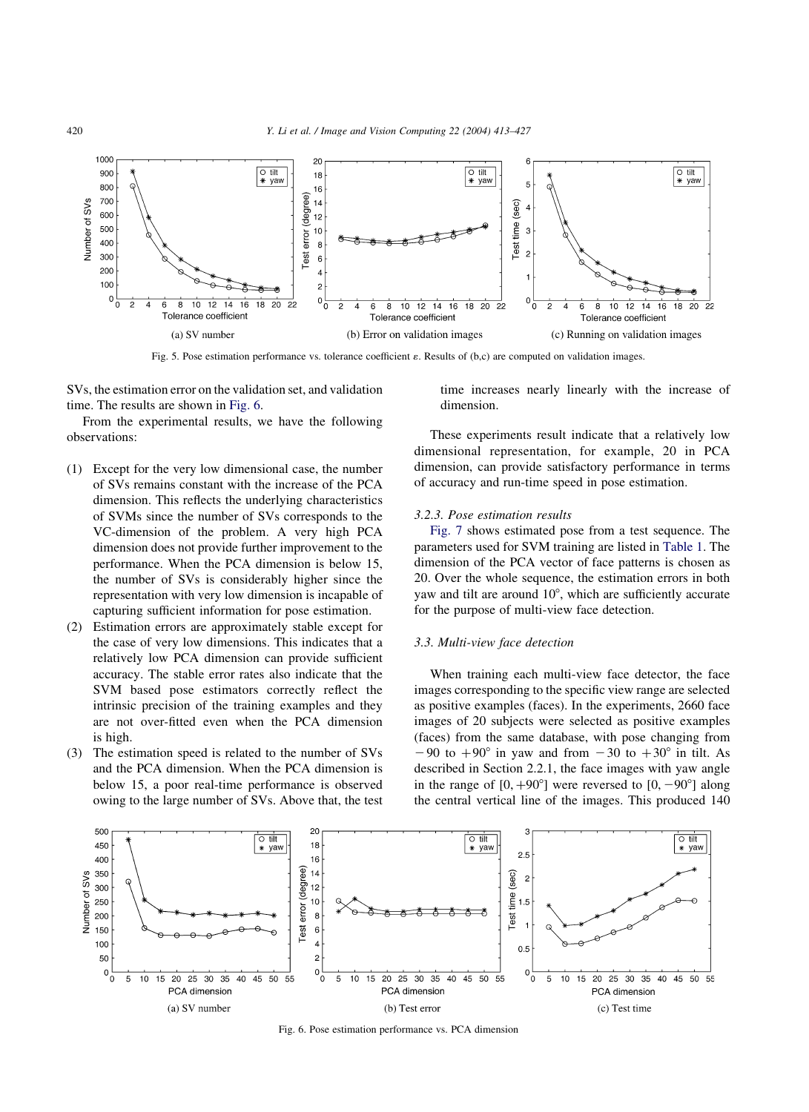<span id="page-7-0"></span>

Fig. 5. Pose estimation performance vs. tolerance coefficient  $\varepsilon$ . Results of (b,c) are computed on validation images.

SVs, the estimation error on the validation set, and validation time. The results are shown in Fig. 6.

From the experimental results, we have the following observations:

- (1) Except for the very low dimensional case, the number of SVs remains constant with the increase of the PCA dimension. This reflects the underlying characteristics of SVMs since the number of SVs corresponds to the VC-dimension of the problem. A very high PCA dimension does not provide further improvement to the performance. When the PCA dimension is below 15, the number of SVs is considerably higher since the representation with very low dimension is incapable of capturing sufficient information for pose estimation.
- (2) Estimation errors are approximately stable except for the case of very low dimensions. This indicates that a relatively low PCA dimension can provide sufficient accuracy. The stable error rates also indicate that the SVM based pose estimators correctly reflect the intrinsic precision of the training examples and they are not over-fitted even when the PCA dimension is high.
- (3) The estimation speed is related to the number of SVs and the PCA dimension. When the PCA dimension is below 15, a poor real-time performance is observed owing to the large number of SVs. Above that, the test

time increases nearly linearly with the increase of dimension.

These experiments result indicate that a relatively low dimensional representation, for example, 20 in PCA dimension, can provide satisfactory performance in terms of accuracy and run-time speed in pose estimation.

# 3.2.3. Pose estimation results

[Fig. 7](#page-8-0) shows estimated pose from a test sequence. The parameters used for SVM training are listed in [Table 1](#page-6-0). The dimension of the PCA vector of face patterns is chosen as 20. Over the whole sequence, the estimation errors in both yaw and tilt are around 10°, which are sufficiently accurate for the purpose of multi-view face detection.

# 3.3. Multi-view face detection

When training each multi-view face detector, the face images corresponding to the specific view range are selected as positive examples (faces). In the experiments, 2660 face images of 20 subjects were selected as positive examples (faces) from the same database, with pose changing from  $-90$  to  $+90^{\circ}$  in yaw and from  $-30$  to  $+30^{\circ}$  in tilt. As described in Section 2.2.1, the face images with yaw angle in the range of  $[0, +90^{\circ}]$  were reversed to  $[0, -90^{\circ}]$  along the central vertical line of the images. This produced 140



Fig. 6. Pose estimation performance vs. PCA dimension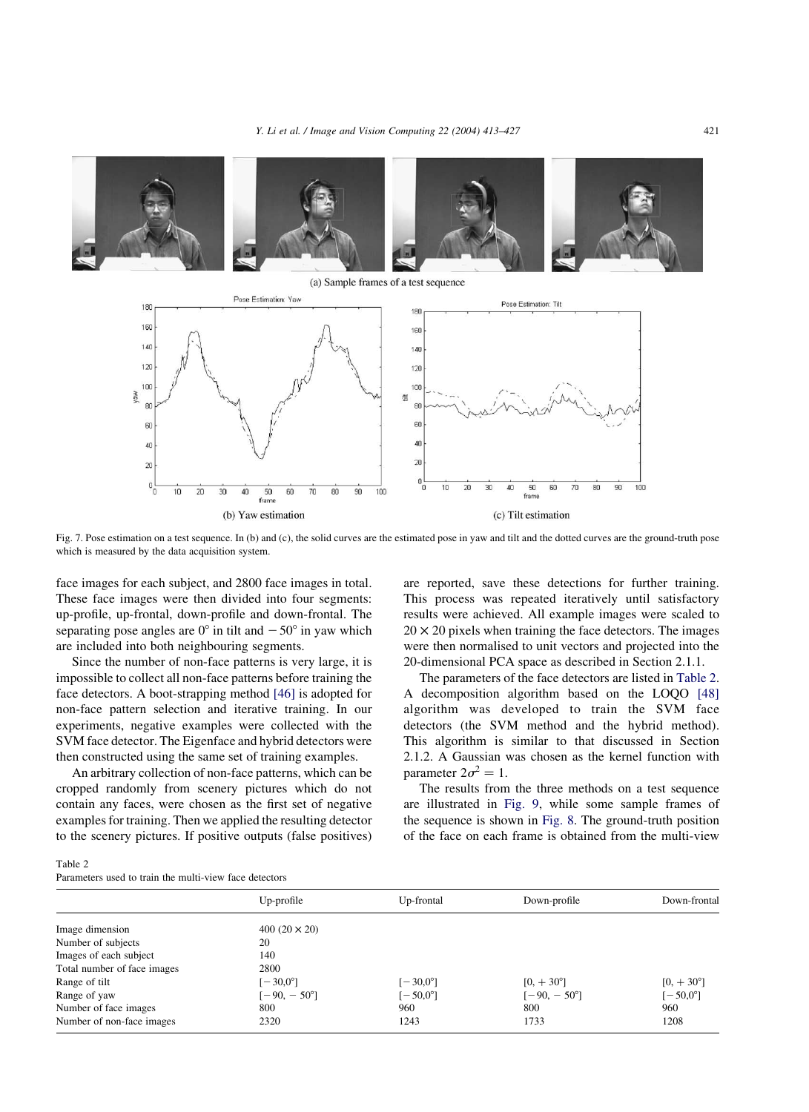<span id="page-8-0"></span>

(a) Sample frames of a test sequence



Fig. 7. Pose estimation on a test sequence. In (b) and (c), the solid curves are the estimated pose in yaw and tilt and the dotted curves are the ground-truth pose which is measured by the data acquisition system.

face images for each subject, and 2800 face images in total. These face images were then divided into four segments: up-profile, up-frontal, down-profile and down-frontal. The separating pose angles are  $0^{\circ}$  in tilt and  $-50^{\circ}$  in yaw which are included into both neighbouring segments.

Since the number of non-face patterns is very large, it is impossible to collect all non-face patterns before training the face detectors. A boot-strapping method [\[46\]](#page-14-0) is adopted for non-face pattern selection and iterative training. In our experiments, negative examples were collected with the SVM face detector. The Eigenface and hybrid detectors were then constructed using the same set of training examples.

An arbitrary collection of non-face patterns, which can be cropped randomly from scenery pictures which do not contain any faces, were chosen as the first set of negative examples for training. Then we applied the resulting detector to the scenery pictures. If positive outputs (false positives)

are reported, save these detections for further training. This process was repeated iteratively until satisfactory results were achieved. All example images were scaled to  $20 \times 20$  pixels when training the face detectors. The images were then normalised to unit vectors and projected into the 20-dimensional PCA space as described in Section 2.1.1.

The parameters of the face detectors are listed in Table 2. A decomposition algorithm based on the LOQO [\[48\]](#page-14-0) algorithm was developed to train the SVM face detectors (the SVM method and the hybrid method). This algorithm is similar to that discussed in Section 2.1.2. A Gaussian was chosen as the kernel function with parameter  $2\sigma^2 = 1$ .

The results from the three methods on a test sequence are illustrated in [Fig. 9](#page-10-0), while some sample frames of the sequence is shown in [Fig. 8](#page-9-0). The ground-truth position of the face on each frame is obtained from the multi-view

| Table 2                                                |  |  |
|--------------------------------------------------------|--|--|
| Parameters used to train the multi-view face detectors |  |  |

|                             | Up-profile           | Up-frontal        | Down-profile         | Down-frontal       |
|-----------------------------|----------------------|-------------------|----------------------|--------------------|
| Image dimension             | 400 $(20 \times 20)$ |                   |                      |                    |
| Number of subjects          | 20                   |                   |                      |                    |
| Images of each subject      | 140                  |                   |                      |                    |
| Total number of face images | 2800                 |                   |                      |                    |
| Range of tilt               | $[-30,0^{\circ}]$    | $[-30.0^{\circ}]$ | $[0, +30^{\circ}]$   | $[0, +30^{\circ}]$ |
| Range of yaw                | $[-90, -50^{\circ}]$ | $[-50.0^{\circ}]$ | $[-90, -50^{\circ}]$ | $[-50,0^{\circ}]$  |
| Number of face images       | 800                  | 960               | 800                  | 960                |
| Number of non-face images   | 2320                 | 1243              | 1733                 | 1208               |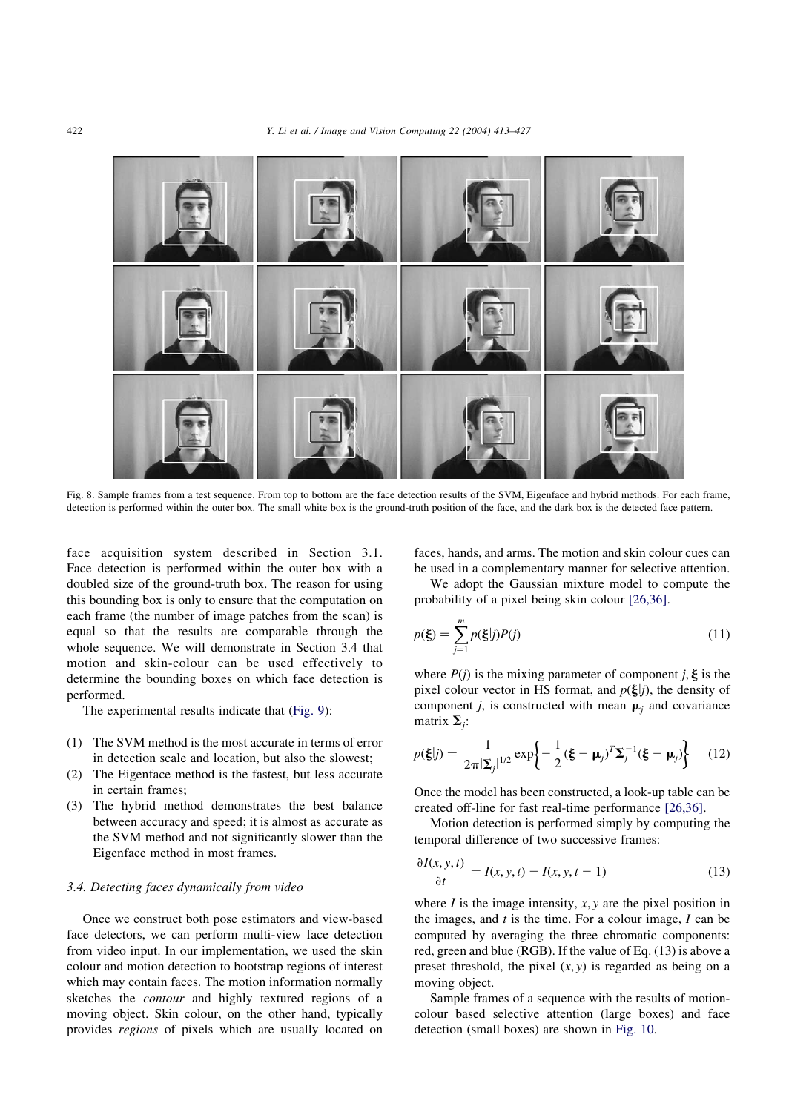<span id="page-9-0"></span>

Fig. 8. Sample frames from a test sequence. From top to bottom are the face detection results of the SVM, Eigenface and hybrid methods. For each frame, detection is performed within the outer box. The small white box is the ground-truth position of the face, and the dark box is the detected face pattern.

face acquisition system described in Section 3.1. Face detection is performed within the outer box with a doubled size of the ground-truth box. The reason for using this bounding box is only to ensure that the computation on each frame (the number of image patches from the scan) is equal so that the results are comparable through the whole sequence. We will demonstrate in Section 3.4 that motion and skin-colour can be used effectively to determine the bounding boxes on which face detection is performed.

The experimental results indicate that ([Fig. 9\)](#page-10-0):

- (1) The SVM method is the most accurate in terms of error in detection scale and location, but also the slowest;
- (2) The Eigenface method is the fastest, but less accurate in certain frames;
- (3) The hybrid method demonstrates the best balance between accuracy and speed; it is almost as accurate as the SVM method and not significantly slower than the Eigenface method in most frames.

# 3.4. Detecting faces dynamically from video

Once we construct both pose estimators and view-based face detectors, we can perform multi-view face detection from video input. In our implementation, we used the skin colour and motion detection to bootstrap regions of interest which may contain faces. The motion information normally sketches the contour and highly textured regions of a moving object. Skin colour, on the other hand, typically provides regions of pixels which are usually located on

faces, hands, and arms. The motion and skin colour cues can be used in a complementary manner for selective attention.

We adopt the Gaussian mixture model to compute the probability of a pixel being skin colour [\[26,36\]](#page-14-0).

$$
p(\xi) = \sum_{j=1}^{m} p(\xi|j)P(j)
$$
 (11)

where  $P(j)$  is the mixing parameter of component j,  $\xi$  is the pixel colour vector in HS format, and  $p(\xi|j)$ , the density of component j, is constructed with mean  $\mu_i$  and covariance matrix  $\Sigma_i$ :

$$
p(\xi|j) = \frac{1}{2\pi|\Sigma_j|^{1/2}} \exp\left\{-\frac{1}{2}(\xi - \mu_j)^T \Sigma_j^{-1}(\xi - \mu_j)\right\}
$$
 (12)

Once the model has been constructed, a look-up table can be created off-line for fast real-time performance [\[26,36\]](#page-14-0).

Motion detection is performed simply by computing the temporal difference of two successive frames:

$$
\frac{\partial I(x, y, t)}{\partial t} = I(x, y, t) - I(x, y, t - 1)
$$
\n(13)

where  $I$  is the image intensity,  $x, y$  are the pixel position in the images, and  $t$  is the time. For a colour image,  $I$  can be computed by averaging the three chromatic components: red, green and blue (RGB). If the value of Eq. (13) is above a preset threshold, the pixel  $(x, y)$  is regarded as being on a moving object.

Sample frames of a sequence with the results of motioncolour based selective attention (large boxes) and face detection (small boxes) are shown in [Fig. 10.](#page-11-0)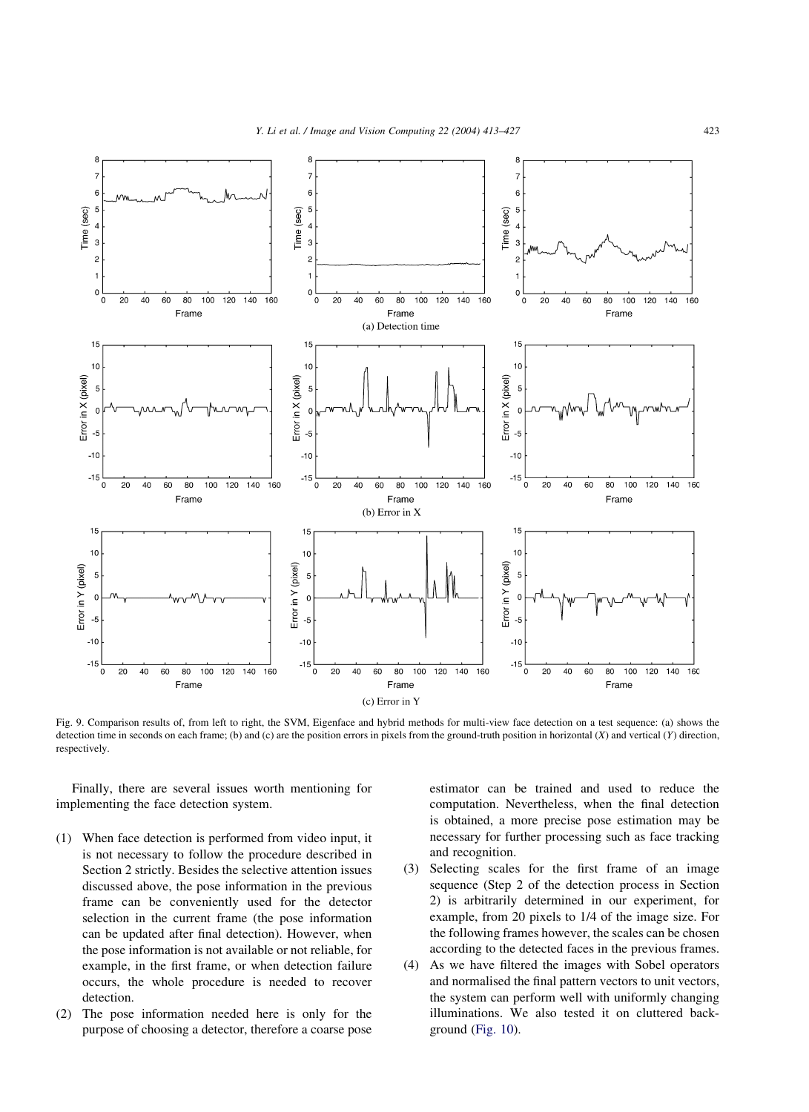<span id="page-10-0"></span>

Fig. 9. Comparison results of, from left to right, the SVM, Eigenface and hybrid methods for multi-view face detection on a test sequence: (a) shows the detection time in seconds on each frame; (b) and (c) are the position errors in pixels from the ground-truth position in horizontal  $(X)$  and vertical  $(Y)$  direction, respectively.

Finally, there are several issues worth mentioning for implementing the face detection system.

- (1) When face detection is performed from video input, it is not necessary to follow the procedure described in Section 2 strictly. Besides the selective attention issues discussed above, the pose information in the previous frame can be conveniently used for the detector selection in the current frame (the pose information can be updated after final detection). However, when the pose information is not available or not reliable, for example, in the first frame, or when detection failure occurs, the whole procedure is needed to recover detection.
- (2) The pose information needed here is only for the purpose of choosing a detector, therefore a coarse pose

estimator can be trained and used to reduce the computation. Nevertheless, when the final detection is obtained, a more precise pose estimation may be necessary for further processing such as face tracking and recognition.

- (3) Selecting scales for the first frame of an image sequence (Step 2 of the detection process in Section 2) is arbitrarily determined in our experiment, for example, from 20 pixels to 1/4 of the image size. For the following frames however, the scales can be chosen according to the detected faces in the previous frames.
- (4) As we have filtered the images with Sobel operators and normalised the final pattern vectors to unit vectors, the system can perform well with uniformly changing illuminations. We also tested it on cluttered background ([Fig. 10\)](#page-11-0).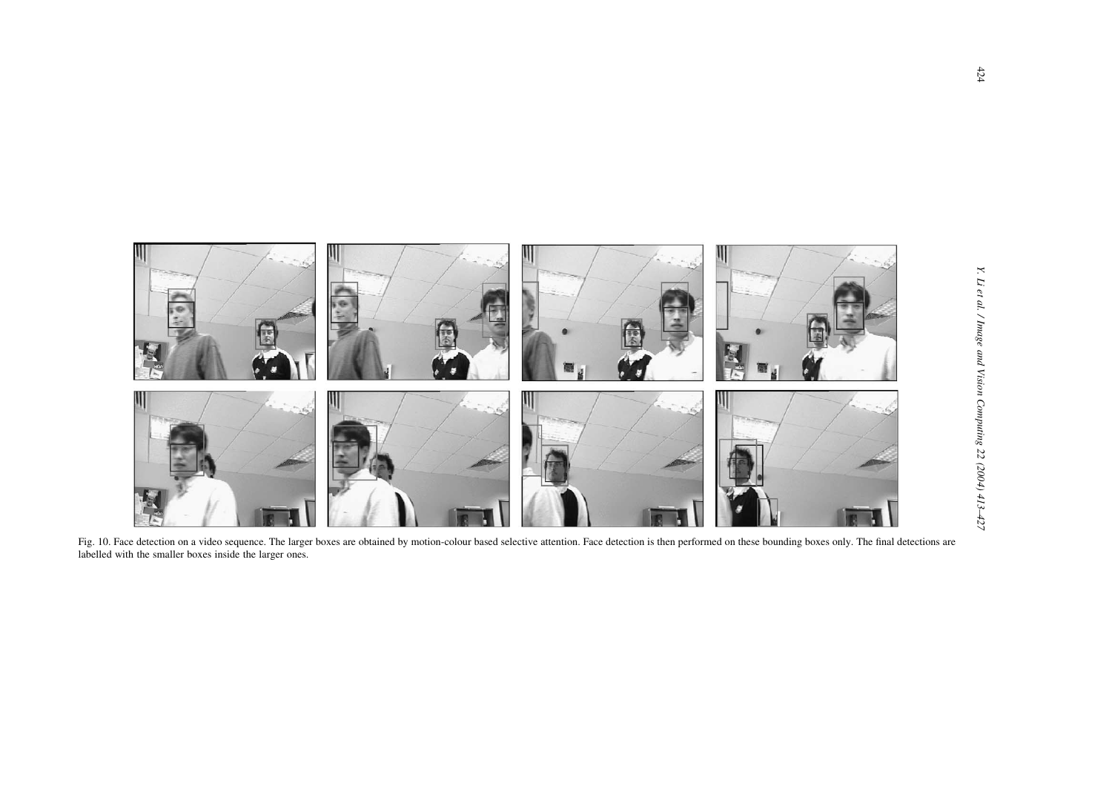<span id="page-11-0"></span>

Fig. 10. Face detection on a video sequence. The larger boxes are obtained by motion-colour based selective attention. Face detection is then performed on these bounding boxes only. The final detections are labelled with the smaller boxes inside the larger ones.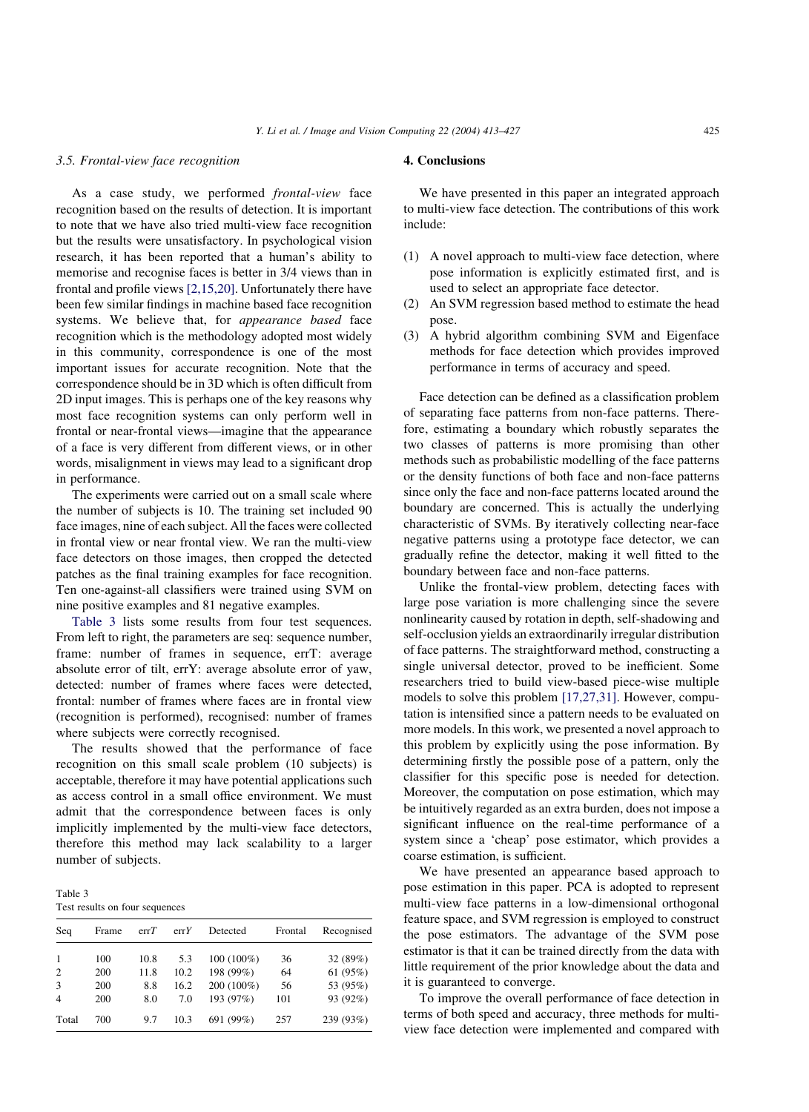#### 3.5. Frontal-view face recognition

As a case study, we performed frontal-view face recognition based on the results of detection. It is important to note that we have also tried multi-view face recognition but the results were unsatisfactory. In psychological vision research, it has been reported that a human's ability to memorise and recognise faces is better in 3/4 views than in frontal and profile views [\[2,15,20\].](#page-13-0) Unfortunately there have been few similar findings in machine based face recognition systems. We believe that, for appearance based face recognition which is the methodology adopted most widely in this community, correspondence is one of the most important issues for accurate recognition. Note that the correspondence should be in 3D which is often difficult from 2D input images. This is perhaps one of the key reasons why most face recognition systems can only perform well in frontal or near-frontal views—imagine that the appearance of a face is very different from different views, or in other words, misalignment in views may lead to a significant drop in performance.

The experiments were carried out on a small scale where the number of subjects is 10. The training set included 90 face images, nine of each subject. All the faces were collected in frontal view or near frontal view. We ran the multi-view face detectors on those images, then cropped the detected patches as the final training examples for face recognition. Ten one-against-all classifiers were trained using SVM on nine positive examples and 81 negative examples.

Table 3 lists some results from four test sequences. From left to right, the parameters are seq: sequence number, frame: number of frames in sequence, errT: average absolute error of tilt, errY: average absolute error of yaw, detected: number of frames where faces were detected, frontal: number of frames where faces are in frontal view (recognition is performed), recognised: number of frames where subjects were correctly recognised.

The results showed that the performance of face recognition on this small scale problem (10 subjects) is acceptable, therefore it may have potential applications such as access control in a small office environment. We must admit that the correspondence between faces is only implicitly implemented by the multi-view face detectors, therefore this method may lack scalability to a larger number of subjects.

Table 3 Test results on four sequences

| Seq            | Frame | errT | errY | Detected   | Frontal | Recognised |
|----------------|-------|------|------|------------|---------|------------|
| -1             | 100   | 10.8 | 5.3  | 100 (100%) | 36      | 32 (89%)   |
| 2              | 200   | 11.8 | 10.2 | 198 (99%)  | 64      | 61 (95%)   |
| 3              | 200   | 8.8  | 16.2 | 200 (100%) | 56      | 53 (95%)   |
| $\overline{4}$ | 200   | 8.0  | 7.0  | 193 (97%)  | 101     | 93 (92%)   |
| Total          | 700   | 9.7  | 10.3 | 691 (99%)  | 257     | 239 (93%)  |

# 4. Conclusions

We have presented in this paper an integrated approach to multi-view face detection. The contributions of this work include:

- (1) A novel approach to multi-view face detection, where pose information is explicitly estimated first, and is used to select an appropriate face detector.
- (2) An SVM regression based method to estimate the head pose.
- (3) A hybrid algorithm combining SVM and Eigenface methods for face detection which provides improved performance in terms of accuracy and speed.

Face detection can be defined as a classification problem of separating face patterns from non-face patterns. Therefore, estimating a boundary which robustly separates the two classes of patterns is more promising than other methods such as probabilistic modelling of the face patterns or the density functions of both face and non-face patterns since only the face and non-face patterns located around the boundary are concerned. This is actually the underlying characteristic of SVMs. By iteratively collecting near-face negative patterns using a prototype face detector, we can gradually refine the detector, making it well fitted to the boundary between face and non-face patterns.

Unlike the frontal-view problem, detecting faces with large pose variation is more challenging since the severe nonlinearity caused by rotation in depth, self-shadowing and self-occlusion yields an extraordinarily irregular distribution of face patterns. The straightforward method, constructing a single universal detector, proved to be inefficient. Some researchers tried to build view-based piece-wise multiple models to solve this problem [\[17,27,31\].](#page-13-0) However, computation is intensified since a pattern needs to be evaluated on more models. In this work, we presented a novel approach to this problem by explicitly using the pose information. By determining firstly the possible pose of a pattern, only the classifier for this specific pose is needed for detection. Moreover, the computation on pose estimation, which may be intuitively regarded as an extra burden, does not impose a significant influence on the real-time performance of a system since a 'cheap' pose estimator, which provides a coarse estimation, is sufficient.

We have presented an appearance based approach to pose estimation in this paper. PCA is adopted to represent multi-view face patterns in a low-dimensional orthogonal feature space, and SVM regression is employed to construct the pose estimators. The advantage of the SVM pose estimator is that it can be trained directly from the data with little requirement of the prior knowledge about the data and it is guaranteed to converge.

To improve the overall performance of face detection in terms of both speed and accuracy, three methods for multiview face detection were implemented and compared with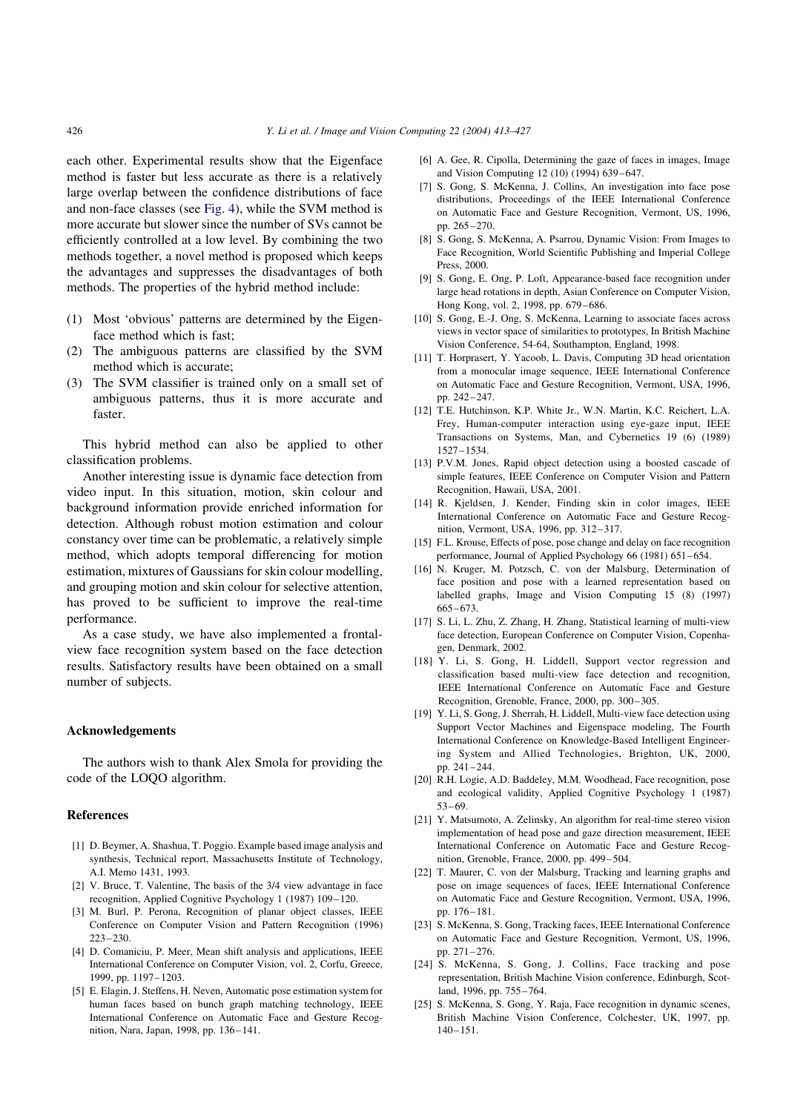<span id="page-13-0"></span>each other. Experimental results show that the Eigenface method is faster but less accurate as there is a relatively large overlap between the confidence distributions of face and non-face classes (see [Fig. 4](#page-5-0)), while the SVM method is more accurate but slower since the number of SVs cannot be efficiently controlled at a low level. By combining the two methods together, a novel method is proposed which keeps the advantages and suppresses the disadvantages of both methods. The properties of the hybrid method include:

- (1) Most 'obvious' patterns are determined by the Eigenface method which is fast;
- (2) The ambiguous patterns are classified by the SVM method which is accurate;
- (3) The SVM classifier is trained only on a small set of ambiguous patterns, thus it is more accurate and faster.

This hybrid method can also be applied to other classification problems.

Another interesting issue is dynamic face detection from video input. In this situation, motion, skin colour and background information provide enriched information for detection. Although robust motion estimation and colour constancy over time can be problematic, a relatively simple method, which adopts temporal differencing for motion estimation, mixtures of Gaussians for skin colour modelling, and grouping motion and skin colour for selective attention, has proved to be sufficient to improve the real-time performance.

As a case study, we have also implemented a frontalview face recognition system based on the face detection results. Satisfactory results have been obtained on a small number of subjects.

#### Acknowledgements

The authors wish to thank Alex Smola for providing the code of the LOQO algorithm.

#### References

- [1] D. Beymer, A. Shashua, T. Poggio. Example based image analysis and synthesis, Technical report, Massachusetts Institute of Technology, A.I. Memo 1431, 1993.
- [2] V. Bruce, T. Valentine, The basis of the 3/4 view advantage in face recognition, Applied Cognitive Psychology 1 (1987) 109–120.
- [3] M. Burl, P. Perona, Recognition of planar object classes, IEEE Conference on Computer Vision and Pattern Recognition (1996) 223–230.
- [4] D. Comaniciu, P. Meer, Mean shift analysis and applications, IEEE International Conference on Computer Vision, vol. 2, Corfu, Greece, 1999, pp. 1197–1203.
- [5] E. Elagin, J. Steffens, H. Neven, Automatic pose estimation system for human faces based on bunch graph matching technology, IEEE International Conference on Automatic Face and Gesture Recognition, Nara, Japan, 1998, pp. 136–141.
- [6] A. Gee, R. Cipolla, Determining the gaze of faces in images, Image and Vision Computing 12 (10) (1994) 639–647.
- [7] S. Gong, S. McKenna, J. Collins, An investigation into face pose distributions, Proceedings of the IEEE International Conference on Automatic Face and Gesture Recognition, Vermont, US, 1996, pp. 265–270.
- [8] S. Gong, S. McKenna, A. Psarrou, Dynamic Vision: From Images to Face Recognition, World Scientific Publishing and Imperial College Press, 2000.
- [9] S. Gong, E. Ong, P. Loft, Appearance-based face recognition under large head rotations in depth, Asian Conference on Computer Vision, Hong Kong, vol. 2, 1998, pp. 679–686.
- [10] S. Gong, E.-J. Ong, S. McKenna, Learning to associate faces across views in vector space of similarities to prototypes, In British Machine Vision Conference, 54-64, Southampton, England, 1998.
- [11] T. Horprasert, Y. Yacoob, L. Davis, Computing 3D head orientation from a monocular image sequence, IEEE International Conference on Automatic Face and Gesture Recognition, Vermont, USA, 1996, pp. 242–247.
- [12] T.E. Hutchinson, K.P. White Jr., W.N. Martin, K.C. Reichert, L.A. Frey, Human-computer interaction using eye-gaze input, IEEE Transactions on Systems, Man, and Cybernetics 19 (6) (1989) 1527–1534.
- [13] P.V.M. Jones, Rapid object detection using a boosted cascade of simple features, IEEE Conference on Computer Vision and Pattern Recognition, Hawaii, USA, 2001.
- [14] R. Kjeldsen, J. Kender, Finding skin in color images, IEEE International Conference on Automatic Face and Gesture Recognition, Vermont, USA, 1996, pp. 312–317.
- [15] F.L. Krouse, Effects of pose, pose change and delay on face recognition performance, Journal of Applied Psychology 66 (1981) 651–654.
- [16] N. Kruger, M. Potzsch, C. von der Malsburg, Determination of face position and pose with a learned representation based on labelled graphs, Image and Vision Computing 15 (8) (1997) 665–673.
- [17] S. Li, L. Zhu, Z. Zhang, H. Zhang, Statistical learning of multi-view face detection, European Conference on Computer Vision, Copenhagen, Denmark, 2002.
- [18] Y. Li, S. Gong, H. Liddell, Support vector regression and classification based multi-view face detection and recognition, IEEE International Conference on Automatic Face and Gesture Recognition, Grenoble, France, 2000, pp. 300–305.
- [19] Y. Li, S. Gong, J. Sherrah, H. Liddell, Multi-view face detection using Support Vector Machines and Eigenspace modeling, The Fourth International Conference on Knowledge-Based Intelligent Engineering System and Allied Technologies, Brighton, UK, 2000, pp. 241–244.
- [20] R.H. Logie, A.D. Baddeley, M.M. Woodhead, Face recognition, pose and ecological validity, Applied Cognitive Psychology 1 (1987) 53–69.
- [21] Y. Matsumoto, A. Zelinsky, An algorithm for real-time stereo vision implementation of head pose and gaze direction measurement, IEEE International Conference on Automatic Face and Gesture Recognition, Grenoble, France, 2000, pp. 499–504.
- [22] T. Maurer, C. von der Malsburg, Tracking and learning graphs and pose on image sequences of faces, IEEE International Conference on Automatic Face and Gesture Recognition, Vermont, USA, 1996, pp. 176–181.
- [23] S. McKenna, S. Gong, Tracking faces, IEEE International Conference on Automatic Face and Gesture Recognition, Vermont, US, 1996, pp. 271–276.
- [24] S. McKenna, S. Gong, J. Collins, Face tracking and pose representation, British Machine Vision conference, Edinburgh, Scotland, 1996, pp. 755–764.
- [25] S. McKenna, S. Gong, Y. Raja, Face recognition in dynamic scenes, British Machine Vision Conference, Colchester, UK, 1997, pp. 140–151.